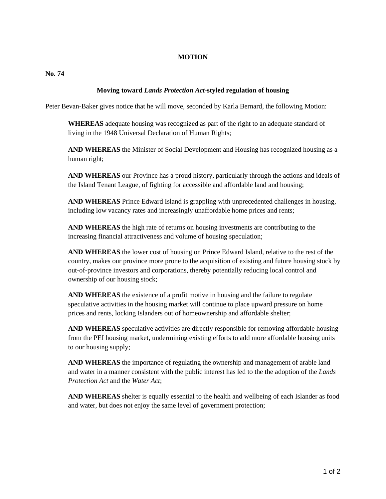## **MOTION**

**No. 74** 

## **Moving toward** *Lands Protection Act-***styled regulation of housing**

Peter Bevan-Baker gives notice that he will move, seconded by Karla Bernard, the following Motion:

**WHEREAS** adequate housing was recognized as part of the right to an adequate standard of living in the 1948 Universal Declaration of Human Rights;

**AND WHEREAS** the Minister of Social Development and Housing has recognized housing as a human right;

**AND WHEREAS** our Province has a proud history, particularly through the actions and ideals of the Island Tenant League, of fighting for accessible and affordable land and housing;

**AND WHEREAS** Prince Edward Island is grappling with unprecedented challenges in housing, including low vacancy rates and increasingly unaffordable home prices and rents;

**AND WHEREAS** the high rate of returns on housing investments are contributing to the increasing financial attractiveness and volume of housing speculation;

**AND WHEREAS** the lower cost of housing on Prince Edward Island, relative to the rest of the country, makes our province more prone to the acquisition of existing and future housing stock by out-of-province investors and corporations, thereby potentially reducing local control and ownership of our housing stock;

**AND WHEREAS** the existence of a profit motive in housing and the failure to regulate speculative activities in the housing market will continue to place upward pressure on home prices and rents, locking Islanders out of homeownership and affordable shelter;

**AND WHEREAS** speculative activities are directly responsible for removing affordable housing from the PEI housing market, undermining existing efforts to add more affordable housing units to our housing supply;

**AND WHEREAS** the importance of regulating the ownership and management of arable land and water in a manner consistent with the public interest has led to the the adoption of the *Lands Protection Act* and the *Water Act*;

**AND WHEREAS** shelter is equally essential to the health and wellbeing of each Islander as food and water, but does not enjoy the same level of government protection;